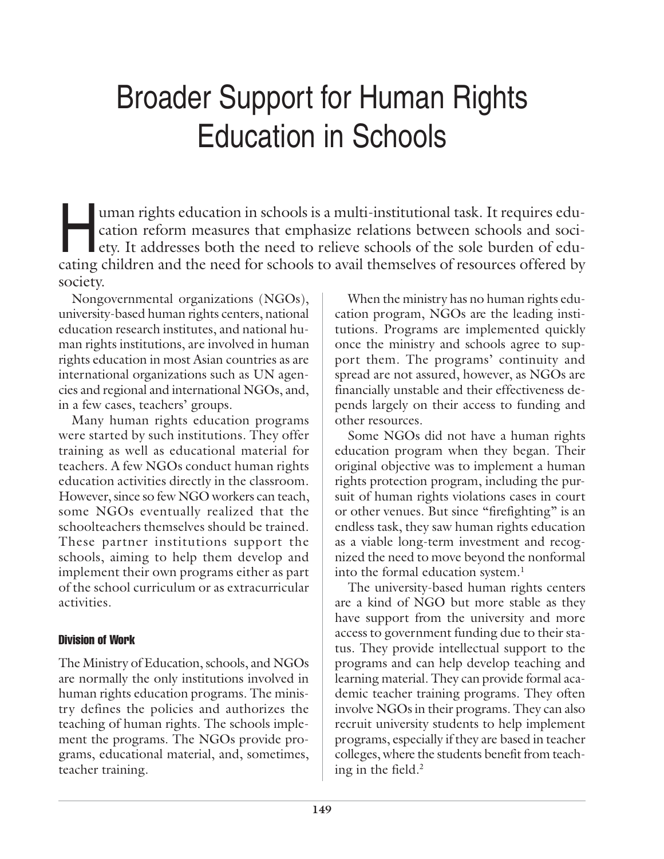# Broader Support for Human Rights Education in Schools

uman rights education in schools is a multi-institutional task. It requires edu-<br>cation reform measures that emphasize relations between schools and soci-<br>ety. It addresses both the need to relieve schools of the sole burd cation reform measures that emphasize relations between schools and society. It addresses both the need to relieve schools of the sole burden of educating children and the need for schools to avail themselves of resources offered by society.

Nongovernmental organizations (NGOs), university-based human rights centers, national education research institutes, and national human rights institutions, are involved in human rights education in most Asian countries as are international organizations such as UN agencies and regional and international NGOs, and, in a few cases, teachers' groups.

Many human rights education programs were started by such institutions. They offer training as well as educational material for teachers. A few NGOs conduct human rights education activities directly in the classroom. However, since so few NGO workers can teach, some NGOs eventually realized that the schoolteachers themselves should be trained. These partner institutions support the schools, aiming to help them develop and implement their own programs either as part of the school curriculum or as extracurricular activities.

# Division of Work

The Ministry of Education, schools, and NGOs are normally the only institutions involved in human rights education programs. The ministry defines the policies and authorizes the teaching of human rights. The schools implement the programs. The NGOs provide programs, educational material, and, sometimes, teacher training.

When the ministry has no human rights education program, NGOs are the leading institutions. Programs are implemented quickly once the ministry and schools agree to support them. The programs' continuity and spread are not assured, however, as NGOs are financially unstable and their effectiveness depends largely on their access to funding and other resources.

Some NGOs did not have a human rights education program when they began. Their original objective was to implement a human rights protection program, including the pursuit of human rights violations cases in court or other venues. But since "firefighting" is an endless task, they saw human rights education as a viable long-term investment and recognized the need to move beyond the nonformal into the formal education system.<sup>1</sup>

The university-based human rights centers are a kind of NGO but more stable as they have support from the university and more access to government funding due to their status. They provide intellectual support to the programs and can help develop teaching and learning material. They can provide formal academic teacher training programs. They often involve NGOs in their programs. They can also recruit university students to help implement programs, especially if they are based in teacher colleges, where the students benefit from teaching in the field.2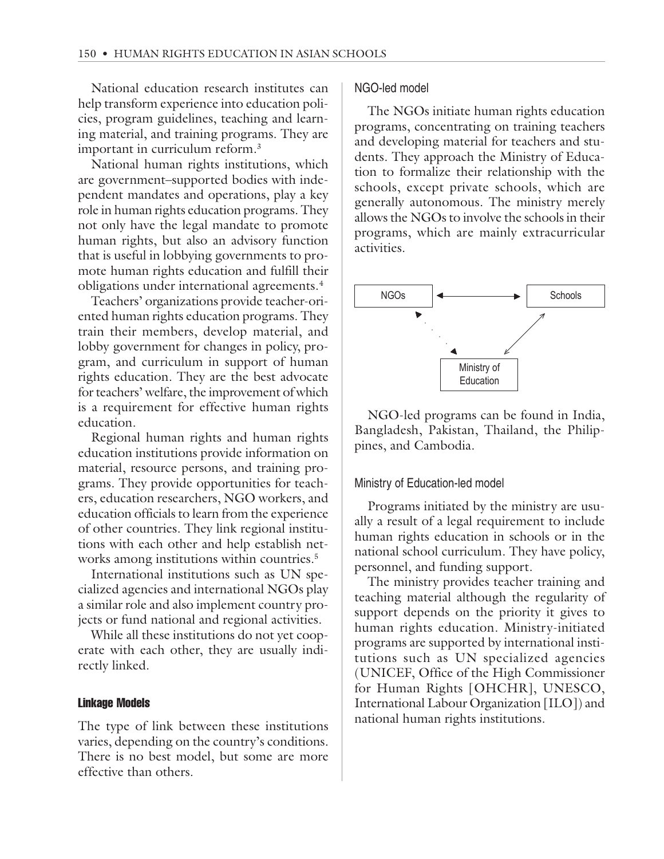National education research institutes can help transform experience into education policies, program guidelines, teaching and learning material, and training programs. They are important in curriculum reform.3

National human rights institutions, which are government–supported bodies with independent mandates and operations, play a key role in human rights education programs. They not only have the legal mandate to promote human rights, but also an advisory function that is useful in lobbying governments to promote human rights education and fulfill their obligations under international agreements.4

Teachers' organizations provide teacher-oriented human rights education programs. They train their members, develop material, and lobby government for changes in policy, program, and curriculum in support of human rights education. They are the best advocate for teachers' welfare, the improvement of which is a requirement for effective human rights education.

Regional human rights and human rights education institutions provide information on material, resource persons, and training programs. They provide opportunities for teachers, education researchers, NGO workers, and education officials to learn from the experience of other countries. They link regional institutions with each other and help establish networks among institutions within countries.<sup>5</sup>

International institutions such as UN specialized agencies and international NGOs play a similar role and also implement country projects or fund national and regional activities.

While all these institutions do not yet cooperate with each other, they are usually indirectly linked.

## Linkage Models

The type of link between these institutions varies, depending on the country's conditions. There is no best model, but some are more effective than others.

# NGO-led model

The NGOs initiate human rights education programs, concentrating on training teachers and developing material for teachers and students. They approach the Ministry of Education to formalize their relationship with the schools, except private schools, which are generally autonomous. The ministry merely allows the NGOs to involve the schools in their programs, which are mainly extracurricular activities.



NGO-led programs can be found in India, Bangladesh, Pakistan, Thailand, the Philippines, and Cambodia.

#### Ministry of Education-led model

Programs initiated by the ministry are usually a result of a legal requirement to include human rights education in schools or in the national school curriculum. They have policy, personnel, and funding support.

The ministry provides teacher training and teaching material although the regularity of support depends on the priority it gives to human rights education. Ministry-initiated programs are supported by international institutions such as UN specialized agencies (UNICEF, Office of the High Commissioner for Human Rights [OHCHR], UNESCO, International Labour Organization [ILO]) and national human rights institutions.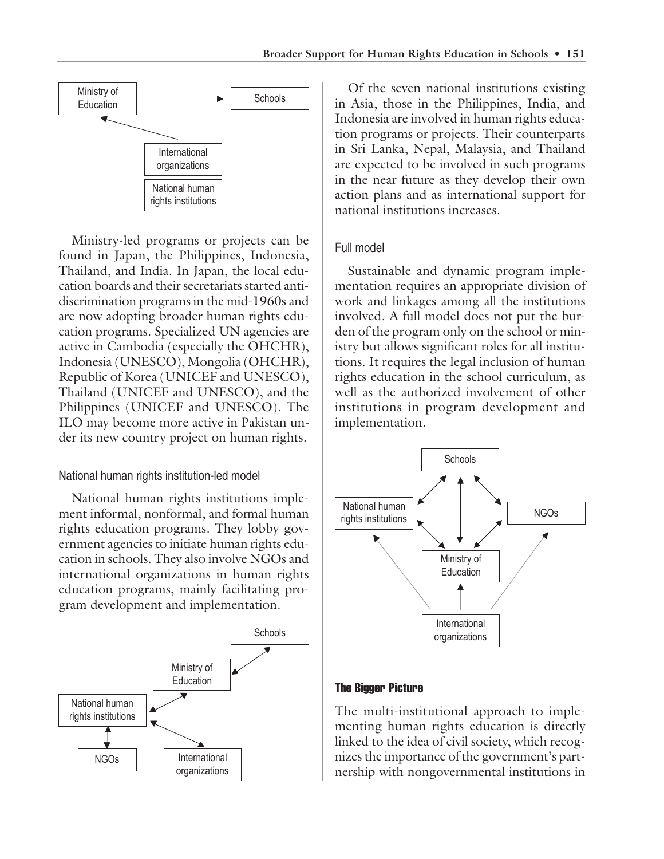

Ministry-led programs or projects can be found in Japan, the Philippines, Indonesia, Thailand, and India. In Japan, the local education boards and their secretariats started antidiscrimination programs in the mid-1960s and are now adopting broader human rights education programs. Specialized UN agencies are active in Cambodia (especially the OHCHR), Indonesia (UNESCO), Mongolia (OHCHR), Republic of Korea (UNICEF and UNESCO), Thailand (UNICEF and UNESCO), and the Philippines (UNICEF and UNESCO). The ILO may become more active in Pakistan under its new country project on human rights.

# National human rights institution-led model

National human rights institutions implement informal, nonformal, and formal human rights education programs. They lobby government agencies to initiate human rights education in schools. They also involve NGOs and international organizations in human rights education programs, mainly facilitating program development and implementation.



Of the seven national institutions existing in Asia, those in the Philippines, India, and Indonesia are involved in human rights education programs or projects. Their counterparts in Sri Lanka, Nepal, Malaysia, and Thailand are expected to be involved in such programs in the near future as they develop their own action plans and as international support for national institutions increases.

## Full model

Sustainable and dynamic program implementation requires an appropriate division of work and linkages among all the institutions involved. A full model does not put the burden of the program only on the school or ministry but allows significant roles for all institutions. It requires the legal inclusion of human rights education in the school curriculum, as well as the authorized involvement of other institutions in program development and implementation.



#### The Bigger Picture

The multi-institutional approach to implementing human rights education is directly linked to the idea of civil society, which recognizes the importance of the government's partnership with nongovernmental institutions in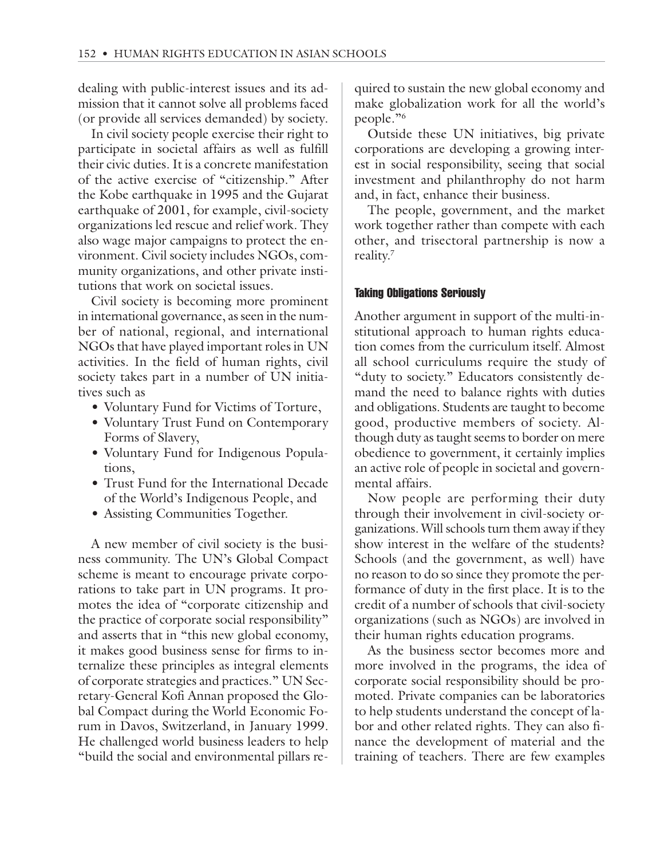dealing with public-interest issues and its admission that it cannot solve all problems faced (or provide all services demanded) by society.

In civil society people exercise their right to participate in societal affairs as well as fulfill their civic duties. It is a concrete manifestation of the active exercise of "citizenship." After the Kobe earthquake in 1995 and the Gujarat earthquake of 2001, for example, civil-society organizations led rescue and relief work. They also wage major campaigns to protect the environment. Civil society includes NGOs, community organizations, and other private institutions that work on societal issues.

Civil society is becoming more prominent in international governance, as seen in the number of national, regional, and international NGOs that have played important roles in UN activities. In the field of human rights, civil society takes part in a number of UN initiatives such as

- Voluntary Fund for Victims of Torture,
- Voluntary Trust Fund on Contemporary Forms of Slavery,
- Voluntary Fund for Indigenous Populations,
- Trust Fund for the International Decade of the World's Indigenous People, and
- Assisting Communities Together.

A new member of civil society is the business community. The UN's Global Compact scheme is meant to encourage private corporations to take part in UN programs. It promotes the idea of "corporate citizenship and the practice of corporate social responsibility" and asserts that in "this new global economy, it makes good business sense for firms to internalize these principles as integral elements of corporate strategies and practices." UN Secretary-General Kofi Annan proposed the Global Compact during the World Economic Forum in Davos, Switzerland, in January 1999. He challenged world business leaders to help "build the social and environmental pillars re-

quired to sustain the new global economy and make globalization work for all the world's people."6

Outside these UN initiatives, big private corporations are developing a growing interest in social responsibility, seeing that social investment and philanthrophy do not harm and, in fact, enhance their business.

The people, government, and the market work together rather than compete with each other, and trisectoral partnership is now a reality.7

#### Taking Obligations Seriously

Another argument in support of the multi-institutional approach to human rights education comes from the curriculum itself. Almost all school curriculums require the study of "duty to society." Educators consistently demand the need to balance rights with duties and obligations. Students are taught to become good, productive members of society. Although duty as taught seems to border on mere obedience to government, it certainly implies an active role of people in societal and governmental affairs.

Now people are performing their duty through their involvement in civil-society organizations. Will schools turn them away if they show interest in the welfare of the students? Schools (and the government, as well) have no reason to do so since they promote the performance of duty in the first place. It is to the credit of a number of schools that civil-society organizations (such as NGOs) are involved in their human rights education programs.

As the business sector becomes more and more involved in the programs, the idea of corporate social responsibility should be promoted. Private companies can be laboratories to help students understand the concept of labor and other related rights. They can also finance the development of material and the training of teachers. There are few examples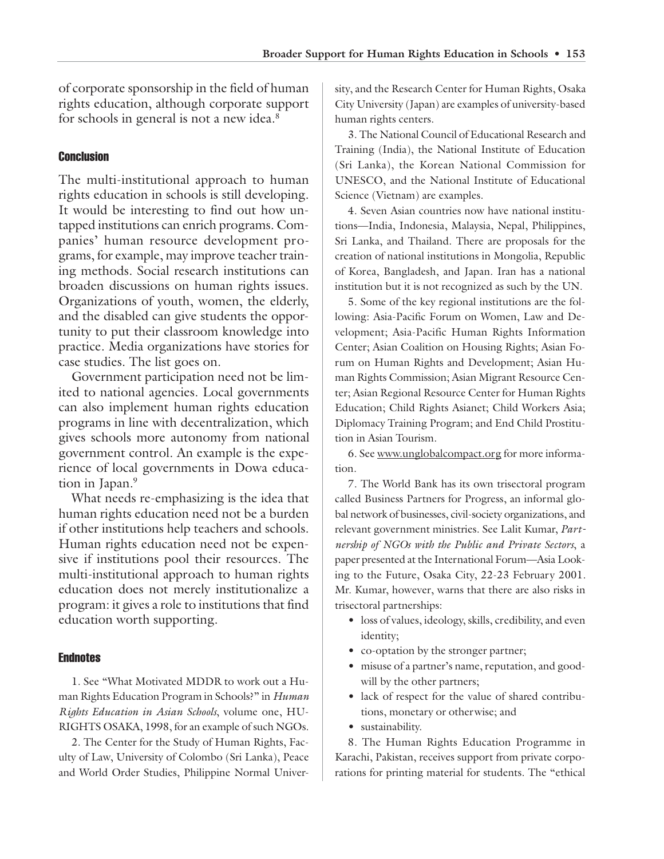of corporate sponsorship in the field of human rights education, although corporate support for schools in general is not a new idea.8

## **Conclusion**

The multi-institutional approach to human rights education in schools is still developing. It would be interesting to find out how untapped institutions can enrich programs. Companies' human resource development programs, for example, may improve teacher training methods. Social research institutions can broaden discussions on human rights issues. Organizations of youth, women, the elderly, and the disabled can give students the opportunity to put their classroom knowledge into practice. Media organizations have stories for case studies. The list goes on.

Government participation need not be limited to national agencies. Local governments can also implement human rights education programs in line with decentralization, which gives schools more autonomy from national government control. An example is the experience of local governments in Dowa education in Japan.<sup>9</sup>

What needs re-emphasizing is the idea that human rights education need not be a burden if other institutions help teachers and schools. Human rights education need not be expensive if institutions pool their resources. The multi-institutional approach to human rights education does not merely institutionalize a program: it gives a role to institutions that find education worth supporting.

#### **Endnotes**

1. See "What Motivated MDDR to work out a Human Rights Education Program in Schools?" in *Human Rights Education in Asian Schools*, volume one, HU-RIGHTS OSAKA, 1998, for an example of such NGOs.

2. The Center for the Study of Human Rights, Faculty of Law, University of Colombo (Sri Lanka), Peace and World Order Studies, Philippine Normal University, and the Research Center for Human Rights, Osaka City University (Japan) are examples of university-based human rights centers.

3. The National Council of Educational Research and Training (India), the National Institute of Education (Sri Lanka), the Korean National Commission for UNESCO, and the National Institute of Educational Science (Vietnam) are examples.

4. Seven Asian countries now have national institutions—India, Indonesia, Malaysia, Nepal, Philippines, Sri Lanka, and Thailand. There are proposals for the creation of national institutions in Mongolia, Republic of Korea, Bangladesh, and Japan. Iran has a national institution but it is not recognized as such by the UN.

5. Some of the key regional institutions are the following: Asia-Pacific Forum on Women, Law and Development; Asia-Pacific Human Rights Information Center; Asian Coalition on Housing Rights; Asian Forum on Human Rights and Development; Asian Human Rights Commission; Asian Migrant Resource Center; Asian Regional Resource Center for Human Rights Education; Child Rights Asianet; Child Workers Asia; Diplomacy Training Program; and End Child Prostitution in Asian Tourism.

6. See www.unglobalcompact.org for more information.

7. The World Bank has its own trisectoral program called Business Partners for Progress, an informal global network of businesses, civil-society organizations, and relevant government ministries. See Lalit Kumar, *Partnership of NGOs with the Public and Private Sectors*, a paper presented at the International Forum—Asia Looking to the Future, Osaka City, 22-23 February 2001. Mr. Kumar, however, warns that there are also risks in trisectoral partnerships:

- loss of values, ideology, skills, credibility, and even identity;
- co-optation by the stronger partner;
- misuse of a partner's name, reputation, and goodwill by the other partners;
- lack of respect for the value of shared contributions, monetary or otherwise; and
- sustainability.

8. The Human Rights Education Programme in Karachi, Pakistan, receives support from private corporations for printing material for students. The "ethical